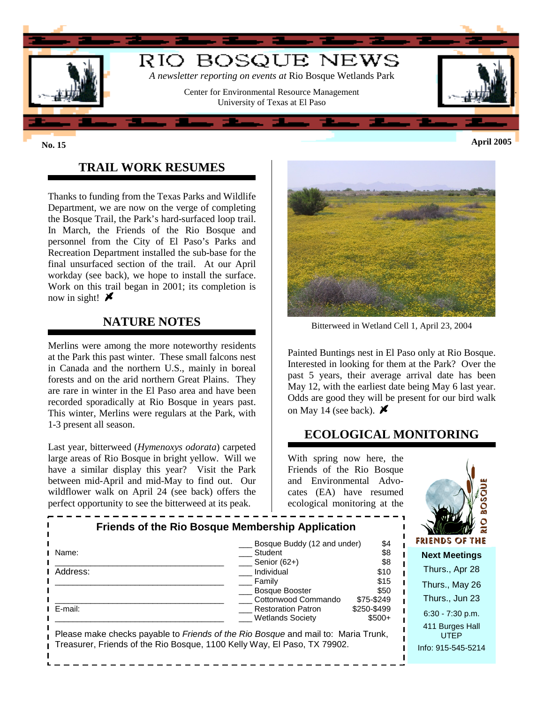

## **TRAIL WORK RESUMES**

Thanks to funding from the Texas Parks and Wildlife Department, we are now on the verge of completing the Bosque Trail, the Park's hard-surfaced loop trail. In March, the Friends of the Rio Bosque and personnel from the City of El Paso's Parks and Recreation Department installed the sub-base for the final unsurfaced section of the trail. At our April workday (see back), we hope to install the surface. Work on this trail began in 2001; its completion is now in sight!  $\blacktriangleright$ 

#### **NATURE NOTES**

Merlins were among the more noteworthy residents at the Park this past winter. These small falcons nest in Canada and the northern U.S., mainly in boreal forests and on the arid northern Great Plains. They are rare in winter in the El Paso area and have been recorded sporadically at Rio Bosque in years past. This winter, Merlins were regulars at the Park, with 1-3 present all season.

Last year, bitterweed (*Hymenoxys odorata*) carpeted large areas of Rio Bosque in bright yellow. Will we have a similar display this year? Visit the Park between mid-April and mid-May to find out. Our wildflower walk on April 24 (see back) offers the perfect opportunity to see the bitterweed at its peak.

. \_ \_ \_ \_ \_ \_ \_ \_ \_ \_ \_ \_ \_ \_ \_ \_ \_



Bitterweed in Wetland Cell 1, April 23, 2004

Painted Buntings nest in El Paso only at Rio Bosque. Interested in looking for them at the Park? Over the past 5 years, their average arrival date has been May 12, with the earliest date being May 6 last year. Odds are good they will be present for our bird walk on May 14 (see back).  $\blacktriangleright$ 

#### **ECOLOGICAL MONITORING**

f,

With spring now here, the Friends of the Rio Bosque and Environmental Advocates (EA) have resumed ecological monitoring at the



|                                                                                   | Bosque Buddy (12 and under)                          | \$4                    | コマチ かいこう ニューリンプ<br>$\sim$<br>FRIENDS OF THE |
|-----------------------------------------------------------------------------------|------------------------------------------------------|------------------------|---------------------------------------------|
| Name:                                                                             | Student                                              | \$8                    | <b>Next Meetings</b>                        |
| Address:                                                                          | Senior (62+)<br>Individual                           | \$8<br>\$10            | Thurs., Apr 28                              |
|                                                                                   | Family<br>Bosque Booster                             | \$15<br>\$50           | Thurs., May 26                              |
|                                                                                   | Cottonwood Commando                                  | \$75-\$249             | Thurs., Jun 23                              |
| E-mail:                                                                           | <b>Restoration Patron</b><br><b>Wetlands Society</b> | \$250-\$499<br>$$500+$ | $6:30 - 7:30$ p.m.                          |
| Please make checks payable to Friends of the Rio Bosque and mail to: Maria Trunk, |                                                      |                        | 411 Burges Hall<br><b>UTEP</b>              |
| Treasurer, Friends of the Rio Bosque, 1100 Kelly Way, El Paso, TX 79902.          |                                                      |                        | Info: 915-545-5214                          |

**Friends of the Rio Bosque Membership Application**

 $\ldots$ , May 26  $s<sub>1</sub>$ , Jun 23 7:30 p.m.